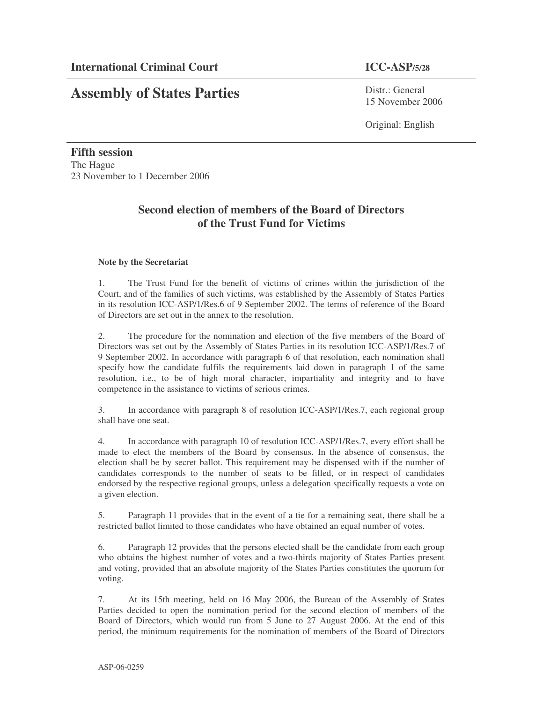# **Assembly of States Parties**

Distr · General 15 November 2006

Original: English

**Fifth session** The Hague 23 November to 1 December 2006

## **Second election of members of the Board of Directors of the Trust Fund for Victims**

## **Note by the Secretariat**

1. The Trust Fund for the benefit of victims of crimes within the jurisdiction of the Court, and of the families of such victims, was established by the Assembly of States Parties in its resolution ICC-ASP/1/Res.6 of 9 September 2002. The terms of reference of the Board of Directors are set out in the annex to the resolution.

2. The procedure for the nomination and election of the five members of the Board of Directors was set out by the Assembly of States Parties in its resolution ICC-ASP/1/Res.7 of 9 September 2002. In accordance with paragraph 6 of that resolution, each nomination shall specify how the candidate fulfils the requirements laid down in paragraph 1 of the same resolution, i.e., to be of high moral character, impartiality and integrity and to have competence in the assistance to victims of serious crimes.

3. In accordance with paragraph 8 of resolution ICC-ASP/1/Res.7, each regional group shall have one seat.

4. In accordance with paragraph 10 of resolution ICC-ASP/1/Res.7, every effort shall be made to elect the members of the Board by consensus. In the absence of consensus, the election shall be by secret ballot. This requirement may be dispensed with if the number of candidates corresponds to the number of seats to be filled, or in respect of candidates endorsed by the respective regional groups, unless a delegation specifically requests a vote on a given election.

5. Paragraph 11 provides that in the event of a tie for a remaining seat, there shall be a restricted ballot limited to those candidates who have obtained an equal number of votes.

6. Paragraph 12 provides that the persons elected shall be the candidate from each group who obtains the highest number of votes and a two-thirds majority of States Parties present and voting, provided that an absolute majority of the States Parties constitutes the quorum for voting.

7. At its 15th meeting, held on 16 May 2006, the Bureau of the Assembly of States Parties decided to open the nomination period for the second election of members of the Board of Directors, which would run from 5 June to 27 August 2006. At the end of this period, the minimum requirements for the nomination of members of the Board of Directors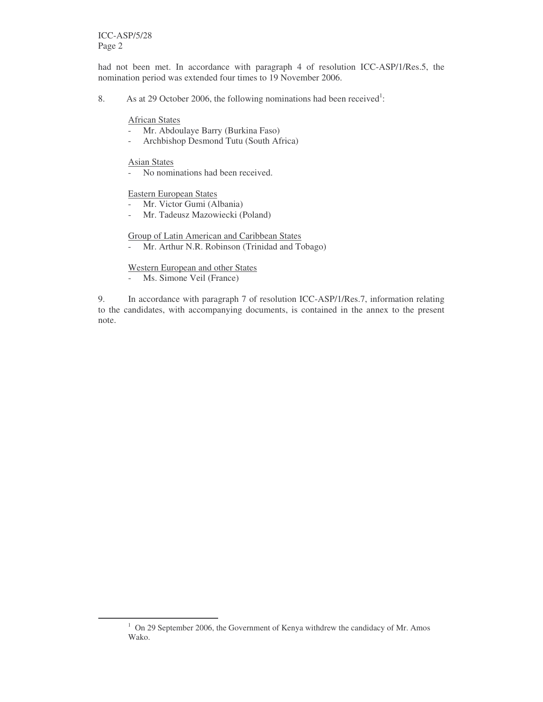had not been met. In accordance with paragraph 4 of resolution ICC-ASP/1/Res.5, the nomination period was extended four times to 19 November 2006.

8. As at 29 October 2006, the following nominations had been received<sup>1</sup>:

African States

- Mr. Abdoulaye Barry (Burkina Faso)
- Archbishop Desmond Tutu (South Africa)

Asian States

- No nominations had been received.

Eastern European States

- Mr. Victor Gumi (Albania)
- Mr. Tadeusz Mazowiecki (Poland)

Group of Latin American and Caribbean States

- Mr. Arthur N.R. Robinson (Trinidad and Tobago)

Western European and other States

- Ms. Simone Veil (France)

9. In accordance with paragraph 7 of resolution ICC-ASP/1/Res.7, information relating to the candidates, with accompanying documents, is contained in the annex to the present note.

 $1$  On 29 September 2006, the Government of Kenya withdrew the candidacy of Mr. Amos Wako.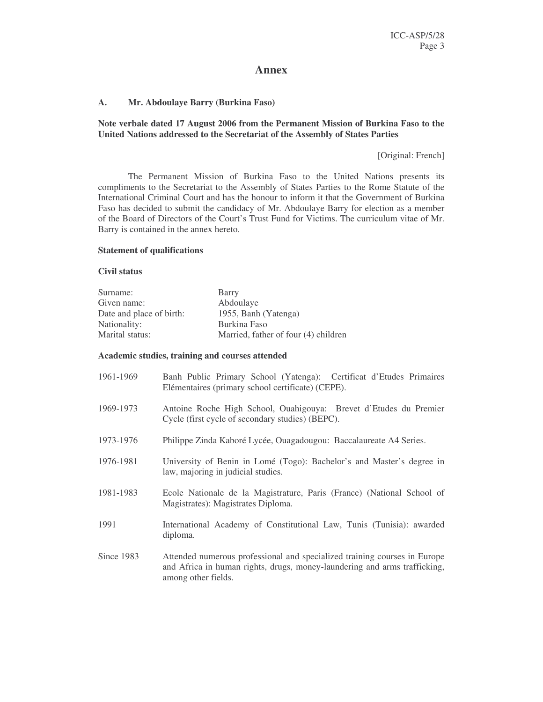## **Annex**

#### **A. Mr. Abdoulaye Barry (Burkina Faso)**

**Note verbale dated 17 August 2006 from the Permanent Mission of Burkina Faso to the United Nations addressed to the Secretariat of the Assembly of States Parties**

[Original: French]

The Permanent Mission of Burkina Faso to the United Nations presents its compliments to the Secretariat to the Assembly of States Parties to the Rome Statute of the International Criminal Court and has the honour to inform it that the Government of Burkina Faso has decided to submit the candidacy of Mr. Abdoulaye Barry for election as a member of the Board of Directors of the Court's Trust Fund for Victims. The curriculum vitae of Mr. Barry is contained in the annex hereto.

#### **Statement of qualifications**

### **Civil status**

| Surname:                 | Barry                                |
|--------------------------|--------------------------------------|
| Given name:              | Abdoulaye                            |
| Date and place of birth: | 1955, Banh (Yatenga)                 |
| Nationality:             | Burkina Faso                         |
| Marital status:          | Married, father of four (4) children |

#### **Academic studies, training and courses attended**

| 1961-1969  | Banh Public Primary School (Yatenga): Certificat d'Etudes Primaires<br>Elémentaires (primary school certificate) (CEPE).                                                      |
|------------|-------------------------------------------------------------------------------------------------------------------------------------------------------------------------------|
| 1969-1973  | Antoine Roche High School, Ouahigouya: Brevet d'Etudes du Premier<br>Cycle (first cycle of secondary studies) (BEPC).                                                         |
| 1973-1976  | Philippe Zinda Kaboré Lycée, Ouagadougou: Baccalaureate A4 Series.                                                                                                            |
| 1976-1981  | University of Benin in Lomé (Togo): Bachelor's and Master's degree in<br>law, majoring in judicial studies.                                                                   |
| 1981-1983  | Ecole Nationale de la Magistrature, Paris (France) (National School of<br>Magistrates): Magistrates Diploma.                                                                  |
| 1991       | International Academy of Constitutional Law, Tunis (Tunisia): awarded<br>diploma.                                                                                             |
| Since 1983 | Attended numerous professional and specialized training courses in Europe<br>and Africa in human rights, drugs, money-laundering and arms trafficking,<br>among other fields. |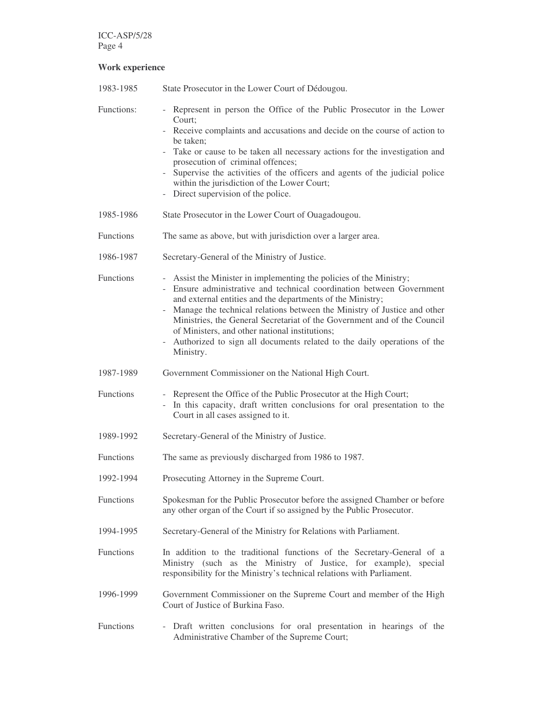## **Work experience**

| 1983-1985        | State Prosecutor in the Lower Court of Dédougou.                                                                                                                                                                                                                                                                                                                                                                                                                                                                                     |
|------------------|--------------------------------------------------------------------------------------------------------------------------------------------------------------------------------------------------------------------------------------------------------------------------------------------------------------------------------------------------------------------------------------------------------------------------------------------------------------------------------------------------------------------------------------|
| Functions:       | Represent in person the Office of the Public Prosecutor in the Lower<br>Court;<br>- Receive complaints and accusations and decide on the course of action to<br>be taken;<br>- Take or cause to be taken all necessary actions for the investigation and<br>prosecution of criminal offences;<br>Supervise the activities of the officers and agents of the judicial police<br>within the jurisdiction of the Lower Court;<br>- Direct supervision of the police.                                                                    |
| 1985-1986        | State Prosecutor in the Lower Court of Ouagadougou.                                                                                                                                                                                                                                                                                                                                                                                                                                                                                  |
| Functions        | The same as above, but with jurisdiction over a larger area.                                                                                                                                                                                                                                                                                                                                                                                                                                                                         |
| 1986-1987        | Secretary-General of the Ministry of Justice.                                                                                                                                                                                                                                                                                                                                                                                                                                                                                        |
| <b>Functions</b> | Assist the Minister in implementing the policies of the Ministry;<br>Ensure administrative and technical coordination between Government<br>and external entities and the departments of the Ministry;<br>Manage the technical relations between the Ministry of Justice and other<br>Ministries, the General Secretariat of the Government and of the Council<br>of Ministers, and other national institutions;<br>Authorized to sign all documents related to the daily operations of the<br>$\overline{\phantom{a}}$<br>Ministry. |
| 1987-1989        | Government Commissioner on the National High Court.                                                                                                                                                                                                                                                                                                                                                                                                                                                                                  |
| Functions        | - Represent the Office of the Public Prosecutor at the High Court;<br>In this capacity, draft written conclusions for oral presentation to the<br>Court in all cases assigned to it.                                                                                                                                                                                                                                                                                                                                                 |
| 1989-1992        | Secretary-General of the Ministry of Justice.                                                                                                                                                                                                                                                                                                                                                                                                                                                                                        |
| Functions        | The same as previously discharged from 1986 to 1987.                                                                                                                                                                                                                                                                                                                                                                                                                                                                                 |
| 1992-1994        | Prosecuting Attorney in the Supreme Court.                                                                                                                                                                                                                                                                                                                                                                                                                                                                                           |
| <b>Functions</b> | Spokesman for the Public Prosecutor before the assigned Chamber or before<br>any other organ of the Court if so assigned by the Public Prosecutor.                                                                                                                                                                                                                                                                                                                                                                                   |
| 1994-1995        | Secretary-General of the Ministry for Relations with Parliament.                                                                                                                                                                                                                                                                                                                                                                                                                                                                     |
| <b>Functions</b> | In addition to the traditional functions of the Secretary-General of a<br>Ministry (such as the Ministry of Justice, for example), special<br>responsibility for the Ministry's technical relations with Parliament.                                                                                                                                                                                                                                                                                                                 |
| 1996-1999        | Government Commissioner on the Supreme Court and member of the High<br>Court of Justice of Burkina Faso.                                                                                                                                                                                                                                                                                                                                                                                                                             |
| <b>Functions</b> | - Draft written conclusions for oral presentation in hearings of the<br>Administrative Chamber of the Supreme Court;                                                                                                                                                                                                                                                                                                                                                                                                                 |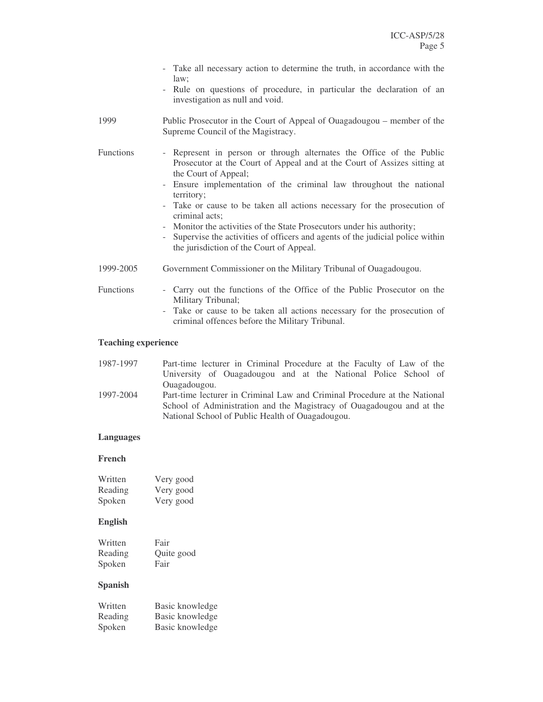|                  | - Take all necessary action to determine the truth, in accordance with the<br>law;<br>- Rule on questions of procedure, in particular the declaration of an<br>investigation as null and void.                                                                                                                                                                                                                                                                                                                                                                             |
|------------------|----------------------------------------------------------------------------------------------------------------------------------------------------------------------------------------------------------------------------------------------------------------------------------------------------------------------------------------------------------------------------------------------------------------------------------------------------------------------------------------------------------------------------------------------------------------------------|
| 1999             | Public Prosecutor in the Court of Appeal of Ouagadougou – member of the<br>Supreme Council of the Magistracy.                                                                                                                                                                                                                                                                                                                                                                                                                                                              |
| <b>Functions</b> | - Represent in person or through alternates the Office of the Public<br>Prosecutor at the Court of Appeal and at the Court of Assizes sitting at<br>the Court of Appeal;<br>Ensure implementation of the criminal law throughout the national<br>$\sim$<br>territory;<br>- Take or cause to be taken all actions necessary for the prosecution of<br>criminal acts;<br>- Monitor the activities of the State Prosecutors under his authority;<br>Supervise the activities of officers and agents of the judicial police within<br>the jurisdiction of the Court of Appeal. |
| 1999-2005        | Government Commissioner on the Military Tribunal of Ouagadougou.                                                                                                                                                                                                                                                                                                                                                                                                                                                                                                           |
| <b>Functions</b> | - Carry out the functions of the Office of the Public Prosecutor on the<br>Military Tribunal;<br>- Take or cause to be taken all actions necessary for the prosecution of<br>criminal offences before the Military Tribunal.                                                                                                                                                                                                                                                                                                                                               |

## **Teaching experience**

| 1987-1997                                                             | Part-time lecturer in Criminal Procedure at the Faculty of Law of the     |
|-----------------------------------------------------------------------|---------------------------------------------------------------------------|
|                                                                       | University of Ouagadougou and at the National Police School of            |
|                                                                       | Ouagadougou.                                                              |
| 1997-2004                                                             | Part-time lecturer in Criminal Law and Criminal Procedure at the National |
| School of Administration and the Magistracy of Ouagadougou and at the |                                                                           |
|                                                                       | National School of Public Health of Ouagadougou.                          |

## **Languages**

## **French**

| Written | Very good |
|---------|-----------|
| Reading | Very good |
| Spoken  | Very good |

## **English**

| Written        | Fair       |
|----------------|------------|
| Reading        | Quite good |
| Spoken         | Fair       |
| <b>Spanish</b> |            |

| Written | Basic knowledge |
|---------|-----------------|
| Reading | Basic knowledge |
| Spoken  | Basic knowledge |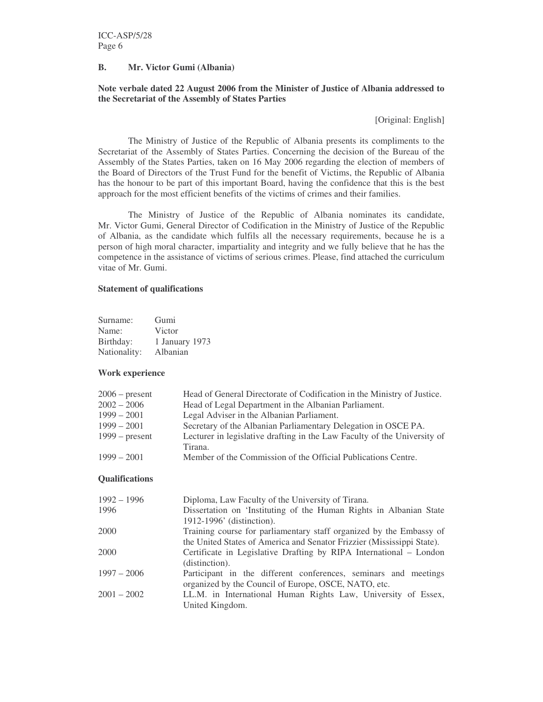## **B. Mr. Victor Gumi (Albania)**

## **Note verbale dated 22 August 2006 from the Minister of Justice of Albania addressed to the Secretariat of the Assembly of States Parties**

[Original: English]

The Ministry of Justice of the Republic of Albania presents its compliments to the Secretariat of the Assembly of States Parties. Concerning the decision of the Bureau of the Assembly of the States Parties, taken on 16 May 2006 regarding the election of members of the Board of Directors of the Trust Fund for the benefit of Victims, the Republic of Albania has the honour to be part of this important Board, having the confidence that this is the best approach for the most efficient benefits of the victims of crimes and their families.

The Ministry of Justice of the Republic of Albania nominates its candidate, Mr. Victor Gumi, General Director of Codification in the Ministry of Justice of the Republic of Albania, as the candidate which fulfils all the necessary requirements, because he is a person of high moral character, impartiality and integrity and we fully believe that he has the competence in the assistance of victims of serious crimes. Please, find attached the curriculum vitae of Mr. Gumi.

## **Statement of qualifications**

| Surname:     | Gumi           |
|--------------|----------------|
| Name:        | Victor         |
| Birthday:    | 1 January 1973 |
| Nationality: | Albanian       |

## **Work experience**

| $2006$ – present | Head of General Directorate of Codification in the Ministry of Justice.  |
|------------------|--------------------------------------------------------------------------|
| $2002 - 2006$    | Head of Legal Department in the Albanian Parliament.                     |
| $1999 - 2001$    | Legal Adviser in the Albanian Parliament.                                |
| $1999 - 2001$    | Secretary of the Albanian Parliamentary Delegation in OSCE PA.           |
| $1999$ – present | Lecturer in legislative drafting in the Law Faculty of the University of |
|                  | Tirana.                                                                  |
| $1999 - 2001$    | Member of the Commission of the Official Publications Centre.            |
|                  |                                                                          |

## **Qualifications**

| $1992 - 1996$ | Diploma, Law Faculty of the University of Tirana.                      |
|---------------|------------------------------------------------------------------------|
| 1996          | Dissertation on 'Instituting of the Human Rights in Albanian State     |
|               | 1912-1996' (distinction).                                              |
| 2000          | Training course for parliamentary staff organized by the Embassy of    |
|               | the United States of America and Senator Frizzier (Mississippi State). |
| 2000          | Certificate in Legislative Drafting by RIPA International – London     |
|               | (distinction).                                                         |
| $1997 - 2006$ | Participant in the different conferences, seminars and meetings        |
|               | organized by the Council of Europe, OSCE, NATO, etc.                   |
| $2001 - 2002$ | LL.M. in International Human Rights Law, University of Essex,          |
|               | United Kingdom.                                                        |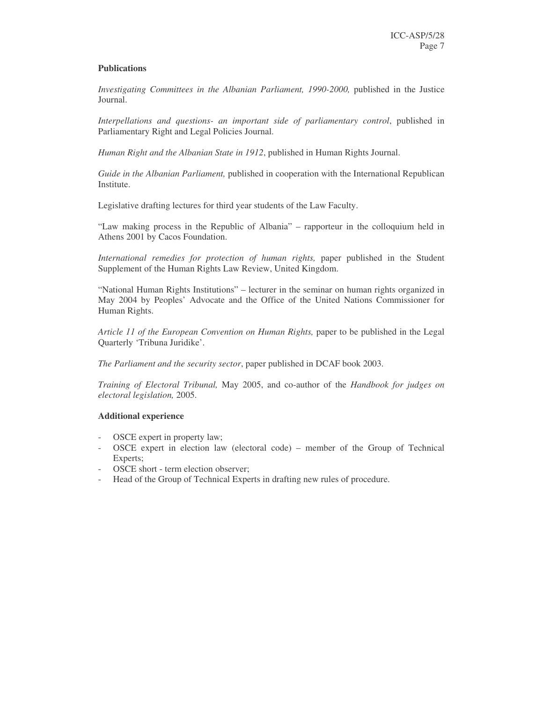## **Publications**

*Investigating Committees in the Albanian Parliament, 1990-2000,* published in the Justice Journal.

*Interpellations and questions- an important side of parliamentary control*, published in Parliamentary Right and Legal Policies Journal.

*Human Right and the Albanian State in 1912*, published in Human Rights Journal.

*Guide in the Albanian Parliament,* published in cooperation with the International Republican Institute.

Legislative drafting lectures for third year students of the Law Faculty.

"Law making process in the Republic of Albania" – rapporteur in the colloquium held in Athens 2001 by Cacos Foundation.

*International remedies for protection of human rights,* paper published in the Student Supplement of the Human Rights Law Review, United Kingdom.

"National Human Rights Institutions" – lecturer in the seminar on human rights organized in May 2004 by Peoples' Advocate and the Office of the United Nations Commissioner for Human Rights.

*Article 11 of the European Convention on Human Rights,* paper to be published in the Legal Quarterly 'Tribuna Juridike'.

*The Parliament and the security sector*, paper published in DCAF book 2003.

*Training of Electoral Tribunal,* May 2005, and co-author of the *Handbook for judges on electoral legislation,* 2005.

## **Additional experience**

- OSCE expert in property law;
- OSCE expert in election law (electoral code) member of the Group of Technical Experts;
- OSCE short term election observer;
- Head of the Group of Technical Experts in drafting new rules of procedure.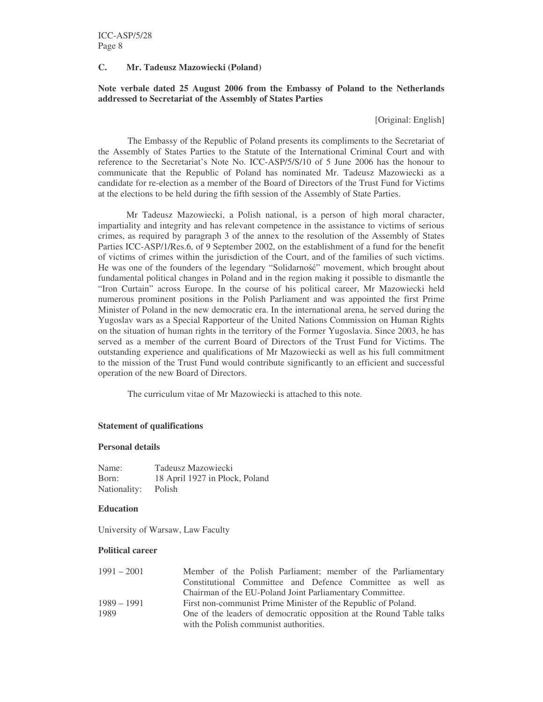## **C. Mr. Tadeusz Mazowiecki (Poland)**

## **Note verbale dated 25 August 2006 from the Embassy of Poland to the Netherlands addressed to Secretariat of the Assembly of States Parties**

[Original: English]

The Embassy of the Republic of Poland presents its compliments to the Secretariat of the Assembly of States Parties to the Statute of the International Criminal Court and with reference to the Secretariat's Note No. ICC-ASP/5/S/10 of 5 June 2006 has the honour to communicate that the Republic of Poland has nominated Mr. Tadeusz Mazowiecki as a candidate for re-election as a member of the Board of Directors of the Trust Fund for Victims at the elections to be held during the fifth session of the Assembly of State Parties.

Mr Tadeusz Mazowiecki, a Polish national, is a person of high moral character, impartiality and integrity and has relevant competence in the assistance to victims of serious crimes, as required by paragraph 3 of the annex to the resolution of the Assembly of States Parties ICC-ASP/1/Res.6, of 9 September 2002, on the establishment of a fund for the benefit of victims of crimes within the jurisdiction of the Court, and of the families of such victims. He was one of the founders of the legendary "Solidarność" movement, which brought about fundamental political changes in Poland and in the region making it possible to dismantle the "Iron Curtain" across Europe. In the course of his political career, Mr Mazowiecki held numerous prominent positions in the Polish Parliament and was appointed the first Prime Minister of Poland in the new democratic era. In the international arena, he served during the Yugoslav wars as a Special Rapporteur of the United Nations Commission on Human Rights on the situation of human rights in the territory of the Former Yugoslavia. Since 2003, he has served as a member of the current Board of Directors of the Trust Fund for Victims. The outstanding experience and qualifications of Mr Mazowiecki as well as his full commitment to the mission of the Trust Fund would contribute significantly to an efficient and successful operation of the new Board of Directors.

The curriculum vitae of Mr Mazowiecki is attached to this note.

#### **Statement of qualifications**

#### **Personal details**

| Name:        | Tadeusz Mazowiecki             |
|--------------|--------------------------------|
| Born:        | 18 April 1927 in Plock, Poland |
| Nationality: | Polish                         |

#### **Education**

University of Warsaw, Law Faculty

#### **Political career**

| $1991 - 2001$ | Member of the Polish Parliament; member of the Parliamentary         |
|---------------|----------------------------------------------------------------------|
|               | Constitutional Committee and Defence Committee as well as            |
|               | Chairman of the EU-Poland Joint Parliamentary Committee.             |
| $1989 - 1991$ | First non-communist Prime Minister of the Republic of Poland.        |
| 1989          | One of the leaders of democratic opposition at the Round Table talks |
|               | with the Polish communist authorities.                               |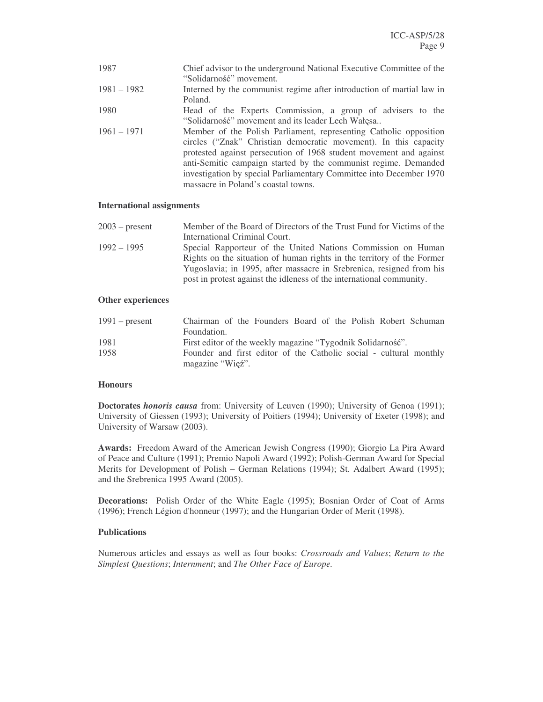| 1987          | Chief advisor to the underground National Executive Committee of the  |
|---------------|-----------------------------------------------------------------------|
|               | "Solidarność" movement.                                               |
| $1981 - 1982$ | Interned by the communist regime after introduction of martial law in |
|               | Poland.                                                               |
| 1980          | Head of the Experts Commission, a group of advisers to the            |
|               | "Solidarność" movement and its leader Lech Wałęsa                     |
| $1961 - 1971$ | Member of the Polish Parliament, representing Catholic opposition     |
|               | circles ("Znak" Christian democratic movement). In this capacity      |
|               | protested against persecution of 1968 student movement and against    |
|               | anti-Semitic campaign started by the communist regime. Demanded       |
|               | investigation by special Parliamentary Committee into December 1970   |
|               | massacre in Poland's coastal towns.                                   |

## **International assignments**

| $2003$ – present | Member of the Board of Directors of the Trust Fund for Victims of the  |
|------------------|------------------------------------------------------------------------|
|                  | International Criminal Court.                                          |
| $1992 - 1995$    | Special Rapporteur of the United Nations Commission on Human           |
|                  | Rights on the situation of human rights in the territory of the Former |
|                  | Yugoslavia; in 1995, after massacre in Srebrenica, resigned from his   |
|                  | post in protest against the idleness of the international community.   |

## **Other experiences**

| $1991$ – present | Chairman of the Founders Board of the Polish Robert Schuman        |
|------------------|--------------------------------------------------------------------|
|                  | Foundation.                                                        |
| 1981             | First editor of the weekly magazine "Tygodnik Solidarność".        |
| 1958             | Founder and first editor of the Catholic social - cultural monthly |
|                  | magazine "Wieź".                                                   |

#### **Honours**

**Doctorates** *honoris causa* from: University of Leuven (1990); University of Genoa (1991); University of Giessen (1993); University of Poitiers (1994); University of Exeter (1998); and University of Warsaw (2003).

**Awards:** Freedom Award of the American Jewish Congress (1990); Giorgio La Pira Award of Peace and Culture (1991); Premio Napoli Award (1992); Polish-German Award for Special Merits for Development of Polish – German Relations (1994); St. Adalbert Award (1995); and the Srebrenica 1995 Award (2005).

**Decorations:** Polish Order of the White Eagle (1995); Bosnian Order of Coat of Arms (1996); French Légion d'honneur (1997); and the Hungarian Order of Merit (1998).

## **Publications**

Numerous articles and essays as well as four books: *Crossroads and Values*; *Return to the Simplest Questions*; *Internment*; and *The Other Face of Europe.*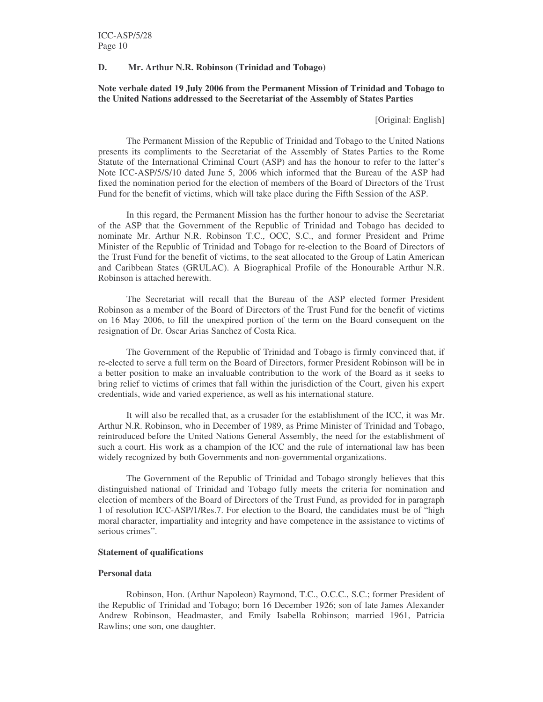## **D. Mr. Arthur N.R. Robinson (Trinidad and Tobago)**

## **Note verbale dated 19 July 2006 from the Permanent Mission of Trinidad and Tobago to the United Nations addressed to the Secretariat of the Assembly of States Parties**

[Original: English]

The Permanent Mission of the Republic of Trinidad and Tobago to the United Nations presents its compliments to the Secretariat of the Assembly of States Parties to the Rome Statute of the International Criminal Court (ASP) and has the honour to refer to the latter's Note ICC-ASP/5/S/10 dated June 5, 2006 which informed that the Bureau of the ASP had fixed the nomination period for the election of members of the Board of Directors of the Trust Fund for the benefit of victims, which will take place during the Fifth Session of the ASP.

In this regard, the Permanent Mission has the further honour to advise the Secretariat of the ASP that the Government of the Republic of Trinidad and Tobago has decided to nominate Mr. Arthur N.R. Robinson T.C., OCC, S.C., and former President and Prime Minister of the Republic of Trinidad and Tobago for re-election to the Board of Directors of the Trust Fund for the benefit of victims, to the seat allocated to the Group of Latin American and Caribbean States (GRULAC). A Biographical Profile of the Honourable Arthur N.R. Robinson is attached herewith.

The Secretariat will recall that the Bureau of the ASP elected former President Robinson as a member of the Board of Directors of the Trust Fund for the benefit of victims on 16 May 2006, to fill the unexpired portion of the term on the Board consequent on the resignation of Dr. Oscar Arias Sanchez of Costa Rica.

The Government of the Republic of Trinidad and Tobago is firmly convinced that, if re-elected to serve a full term on the Board of Directors, former President Robinson will be in a better position to make an invaluable contribution to the work of the Board as it seeks to bring relief to victims of crimes that fall within the jurisdiction of the Court, given his expert credentials, wide and varied experience, as well as his international stature.

It will also be recalled that, as a crusader for the establishment of the ICC, it was Mr. Arthur N.R. Robinson, who in December of 1989, as Prime Minister of Trinidad and Tobago, reintroduced before the United Nations General Assembly, the need for the establishment of such a court. His work as a champion of the ICC and the rule of international law has been widely recognized by both Governments and non-governmental organizations.

The Government of the Republic of Trinidad and Tobago strongly believes that this distinguished national of Trinidad and Tobago fully meets the criteria for nomination and election of members of the Board of Directors of the Trust Fund, as provided for in paragraph 1 of resolution ICC-ASP/1/Res.7. For election to the Board, the candidates must be of "high moral character, impartiality and integrity and have competence in the assistance to victims of serious crimes".

#### **Statement of qualifications**

#### **Personal data**

Robinson, Hon. (Arthur Napoleon) Raymond, T.C., O.C.C., S.C.; former President of the Republic of Trinidad and Tobago; born 16 December 1926; son of late James Alexander Andrew Robinson, Headmaster, and Emily Isabella Robinson; married 1961, Patricia Rawlins; one son, one daughter.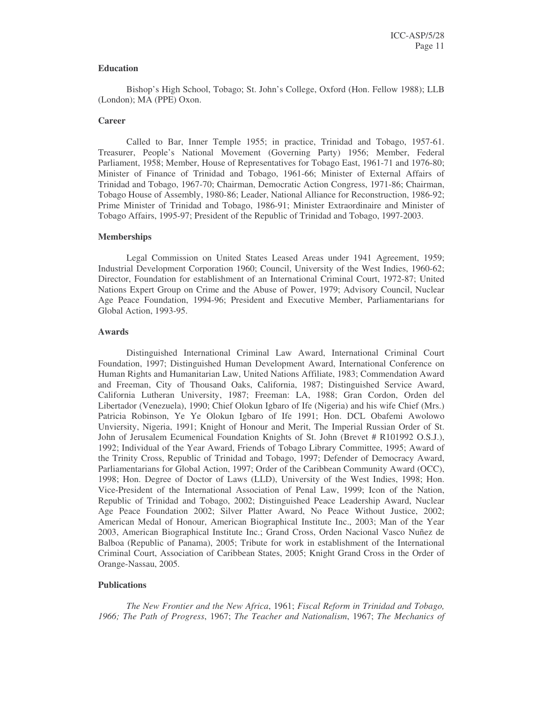## **Education**

Bishop's High School, Tobago; St. John's College, Oxford (Hon. Fellow 1988); LLB (London); MA (PPE) Oxon.

#### **Career**

Called to Bar, Inner Temple 1955; in practice, Trinidad and Tobago, 1957-61. Treasurer, People's National Movement (Governing Party) 1956; Member, Federal Parliament, 1958; Member, House of Representatives for Tobago East, 1961-71 and 1976-80; Minister of Finance of Trinidad and Tobago, 1961-66; Minister of External Affairs of Trinidad and Tobago, 1967-70; Chairman, Democratic Action Congress, 1971-86; Chairman, Tobago House of Assembly, 1980-86; Leader, National Alliance for Reconstruction, 1986-92; Prime Minister of Trinidad and Tobago, 1986-91; Minister Extraordinaire and Minister of Tobago Affairs, 1995-97; President of the Republic of Trinidad and Tobago, 1997-2003.

#### **Memberships**

Legal Commission on United States Leased Areas under 1941 Agreement, 1959; Industrial Development Corporation 1960; Council, University of the West Indies, 1960-62; Director, Foundation for establishment of an International Criminal Court, 1972-87; United Nations Expert Group on Crime and the Abuse of Power, 1979; Advisory Council, Nuclear Age Peace Foundation, 1994-96; President and Executive Member, Parliamentarians for Global Action, 1993-95.

#### **Awards**

Distinguished International Criminal Law Award, International Criminal Court Foundation, 1997; Distinguished Human Development Award, International Conference on Human Rights and Humanitarian Law, United Nations Affiliate, 1983; Commendation Award and Freeman, City of Thousand Oaks, California, 1987; Distinguished Service Award, California Lutheran University, 1987; Freeman: LA, 1988; Gran Cordon, Orden del Libertador (Venezuela), 1990; Chief Olokun Igbaro of Ife (Nigeria) and his wife Chief (Mrs.) Patricia Robinson, Ye Ye Olokun Igbaro of Ife 1991; Hon. DCL Obafemi Awolowo Unviersity, Nigeria, 1991; Knight of Honour and Merit, The Imperial Russian Order of St. John of Jerusalem Ecumenical Foundation Knights of St. John (Brevet # R101992 O.S.J.), 1992; Individual of the Year Award, Friends of Tobago Library Committee, 1995; Award of the Trinity Cross, Republic of Trinidad and Tobago, 1997; Defender of Democracy Award, Parliamentarians for Global Action, 1997; Order of the Caribbean Community Award (OCC), 1998; Hon. Degree of Doctor of Laws (LLD), University of the West Indies, 1998; Hon. Vice-President of the International Association of Penal Law, 1999; Icon of the Nation, Republic of Trinidad and Tobago, 2002; Distinguished Peace Leadership Award, Nuclear Age Peace Foundation 2002; Silver Platter Award, No Peace Without Justice, 2002; American Medal of Honour, American Biographical Institute Inc., 2003; Man of the Year 2003, American Biographical Institute Inc.; Grand Cross, Orden Nacional Vasco Nuñez de Balboa (Republic of Panama), 2005; Tribute for work in establishment of the International Criminal Court, Association of Caribbean States, 2005; Knight Grand Cross in the Order of Orange-Nassau, 2005.

## **Publications**

*The New Frontier and the New Africa*, 1961; *Fiscal Reform in Trinidad and Tobago, 1966; The Path of Progress*, 1967; *The Teacher and Nationalism*, 1967; *The Mechanics of*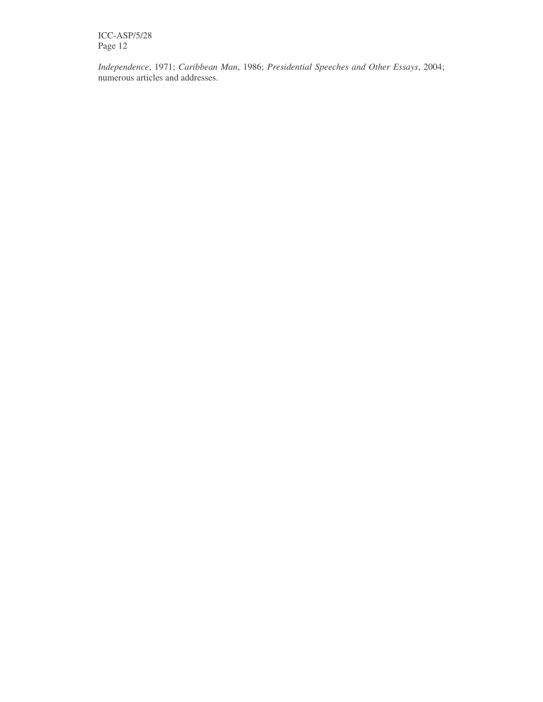ICC-ASP/5/28 Page 12

*Independence*, 1971; *Caribbean Man*, 1986; *Presidential Speeches and Other Essays*, 2004; numerous articles and addresses.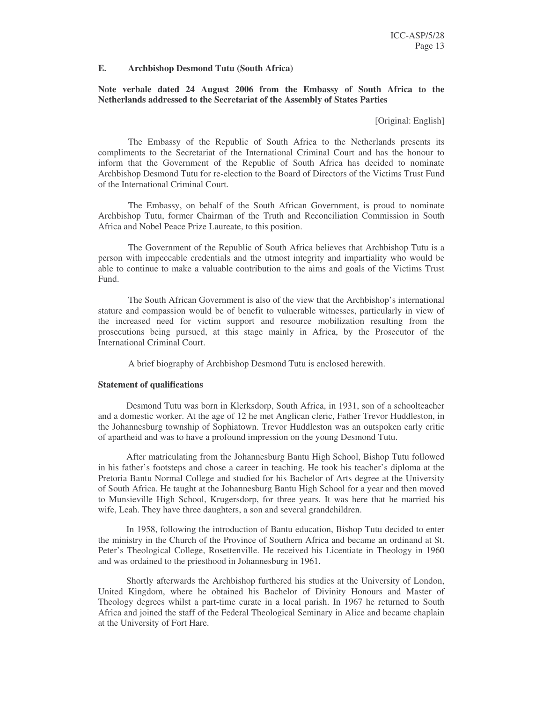#### **E. Archbishop Desmond Tutu (South Africa)**

## **Note verbale dated 24 August 2006 from the Embassy of South Africa to the Netherlands addressed to the Secretariat of the Assembly of States Parties**

[Original: English]

The Embassy of the Republic of South Africa to the Netherlands presents its compliments to the Secretariat of the International Criminal Court and has the honour to inform that the Government of the Republic of South Africa has decided to nominate Archbishop Desmond Tutu for re-election to the Board of Directors of the Victims Trust Fund of the International Criminal Court.

The Embassy, on behalf of the South African Government, is proud to nominate Archbishop Tutu, former Chairman of the Truth and Reconciliation Commission in South Africa and Nobel Peace Prize Laureate, to this position.

The Government of the Republic of South Africa believes that Archbishop Tutu is a person with impeccable credentials and the utmost integrity and impartiality who would be able to continue to make a valuable contribution to the aims and goals of the Victims Trust Fund.

The South African Government is also of the view that the Archbishop's international stature and compassion would be of benefit to vulnerable witnesses, particularly in view of the increased need for victim support and resource mobilization resulting from the prosecutions being pursued, at this stage mainly in Africa, by the Prosecutor of the International Criminal Court.

A brief biography of Archbishop Desmond Tutu is enclosed herewith.

#### **Statement of qualifications**

Desmond Tutu was born in Klerksdorp, South Africa, in 1931, son of a schoolteacher and a domestic worker. At the age of 12 he met Anglican cleric, Father Trevor Huddleston, in the Johannesburg township of Sophiatown. Trevor Huddleston was an outspoken early critic of apartheid and was to have a profound impression on the young Desmond Tutu.

After matriculating from the Johannesburg Bantu High School, Bishop Tutu followed in his father's footsteps and chose a career in teaching. He took his teacher's diploma at the Pretoria Bantu Normal College and studied for his Bachelor of Arts degree at the University of South Africa. He taught at the Johannesburg Bantu High School for a year and then moved to Munsieville High School, Krugersdorp, for three years. It was here that he married his wife, Leah. They have three daughters, a son and several grandchildren.

In 1958, following the introduction of Bantu education, Bishop Tutu decided to enter the ministry in the Church of the Province of Southern Africa and became an ordinand at St. Peter's Theological College, Rosettenville. He received his Licentiate in Theology in 1960 and was ordained to the priesthood in Johannesburg in 1961.

Shortly afterwards the Archbishop furthered his studies at the University of London, United Kingdom, where he obtained his Bachelor of Divinity Honours and Master of Theology degrees whilst a part-time curate in a local parish. In 1967 he returned to South Africa and joined the staff of the Federal Theological Seminary in Alice and became chaplain at the University of Fort Hare.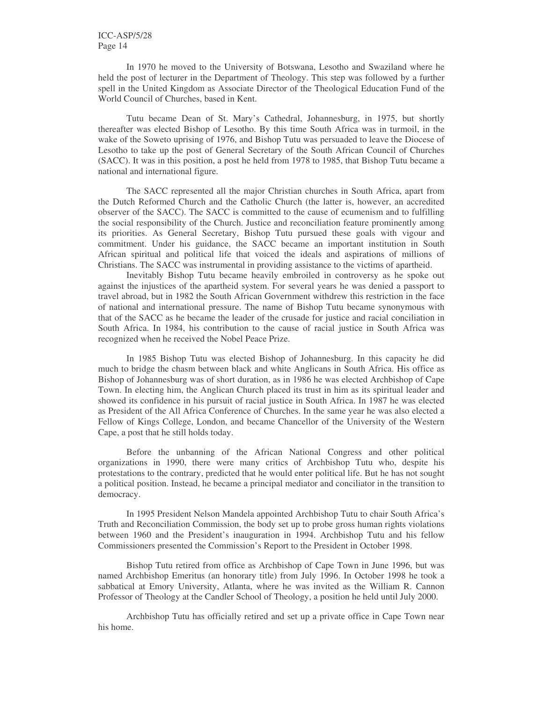In 1970 he moved to the University of Botswana, Lesotho and Swaziland where he held the post of lecturer in the Department of Theology. This step was followed by a further spell in the United Kingdom as Associate Director of the Theological Education Fund of the World Council of Churches, based in Kent.

Tutu became Dean of St. Mary's Cathedral, Johannesburg, in 1975, but shortly thereafter was elected Bishop of Lesotho. By this time South Africa was in turmoil, in the wake of the Soweto uprising of 1976, and Bishop Tutu was persuaded to leave the Diocese of Lesotho to take up the post of General Secretary of the South African Council of Churches (SACC). It was in this position, a post he held from 1978 to 1985, that Bishop Tutu became a national and international figure.

The SACC represented all the major Christian churches in South Africa, apart from the Dutch Reformed Church and the Catholic Church (the latter is, however, an accredited observer of the SACC). The SACC is committed to the cause of ecumenism and to fulfilling the social responsibility of the Church. Justice and reconciliation feature prominently among its priorities. As General Secretary, Bishop Tutu pursued these goals with vigour and commitment. Under his guidance, the SACC became an important institution in South African spiritual and political life that voiced the ideals and aspirations of millions of Christians. The SACC was instrumental in providing assistance to the victims of apartheid.

Inevitably Bishop Tutu became heavily embroiled in controversy as he spoke out against the injustices of the apartheid system. For several years he was denied a passport to travel abroad, but in 1982 the South African Government withdrew this restriction in the face of national and international pressure. The name of Bishop Tutu became synonymous with that of the SACC as he became the leader of the crusade for justice and racial conciliation in South Africa. In 1984, his contribution to the cause of racial justice in South Africa was recognized when he received the Nobel Peace Prize.

In 1985 Bishop Tutu was elected Bishop of Johannesburg. In this capacity he did much to bridge the chasm between black and white Anglicans in South Africa. His office as Bishop of Johannesburg was of short duration, as in 1986 he was elected Archbishop of Cape Town. In electing him, the Anglican Church placed its trust in him as its spiritual leader and showed its confidence in his pursuit of racial justice in South Africa. In 1987 he was elected as President of the All Africa Conference of Churches. In the same year he was also elected a Fellow of Kings College, London, and became Chancellor of the University of the Western Cape, a post that he still holds today.

Before the unbanning of the African National Congress and other political organizations in 1990, there were many critics of Archbishop Tutu who, despite his protestations to the contrary, predicted that he would enter political life. But he has not sought a political position. Instead, he became a principal mediator and conciliator in the transition to democracy.

In 1995 President Nelson Mandela appointed Archbishop Tutu to chair South Africa's Truth and Reconciliation Commission, the body set up to probe gross human rights violations between 1960 and the President's inauguration in 1994. Archbishop Tutu and his fellow Commissioners presented the Commission's Report to the President in October 1998.

Bishop Tutu retired from office as Archbishop of Cape Town in June 1996, but was named Archbishop Emeritus (an honorary title) from July 1996. In October 1998 he took a sabbatical at Emory University, Atlanta, where he was invited as the William R. Cannon Professor of Theology at the Candler School of Theology, a position he held until July 2000.

Archbishop Tutu has officially retired and set up a private office in Cape Town near his home.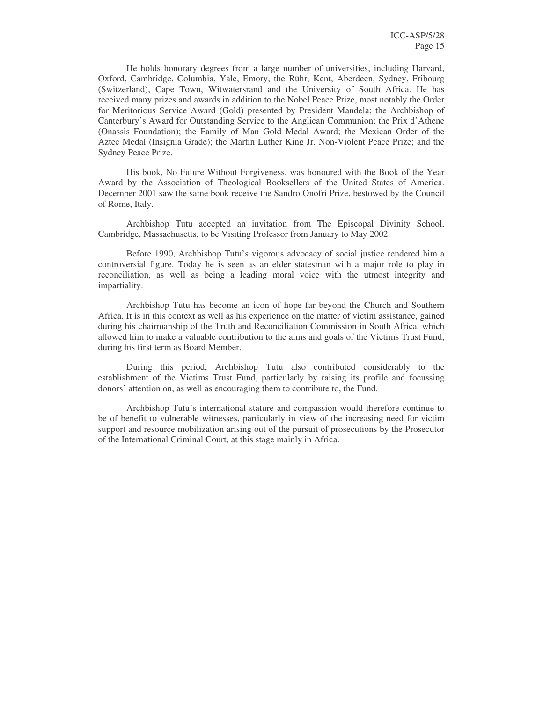He holds honorary degrees from a large number of universities, including Harvard, Oxford, Cambridge, Columbia, Yale, Emory, the Rühr, Kent, Aberdeen, Sydney, Fribourg (Switzerland), Cape Town, Witwatersrand and the University of South Africa. He has received many prizes and awards in addition to the Nobel Peace Prize, most notably the Order for Meritorious Service Award (Gold) presented by President Mandela; the Archbishop of Canterbury's Award for Outstanding Service to the Anglican Communion; the Prix d'Athene (Onassis Foundation); the Family of Man Gold Medal Award; the Mexican Order of the Aztec Medal (Insignia Grade); the Martin Luther King Jr. Non-Violent Peace Prize; and the Sydney Peace Prize.

His book, No Future Without Forgiveness, was honoured with the Book of the Year Award by the Association of Theological Booksellers of the United States of America. December 2001 saw the same book receive the Sandro Onofri Prize, bestowed by the Council of Rome, Italy.

Archbishop Tutu accepted an invitation from The Episcopal Divinity School, Cambridge, Massachusetts, to be Visiting Professor from January to May 2002.

Before 1990, Archbishop Tutu's vigorous advocacy of social justice rendered him a controversial figure. Today he is seen as an elder statesman with a major role to play in reconciliation, as well as being a leading moral voice with the utmost integrity and impartiality.

Archbishop Tutu has become an icon of hope far beyond the Church and Southern Africa. It is in this context as well as his experience on the matter of victim assistance, gained during his chairmanship of the Truth and Reconciliation Commission in South Africa, which allowed him to make a valuable contribution to the aims and goals of the Victims Trust Fund, during his first term as Board Member.

During this period, Archbishop Tutu also contributed considerably to the establishment of the Victims Trust Fund, particularly by raising its profile and focussing donors' attention on, as well as encouraging them to contribute to, the Fund.

Archbishop Tutu's international stature and compassion would therefore continue to be of benefit to vulnerable witnesses, particularly in view of the increasing need for victim support and resource mobilization arising out of the pursuit of prosecutions by the Prosecutor of the International Criminal Court, at this stage mainly in Africa.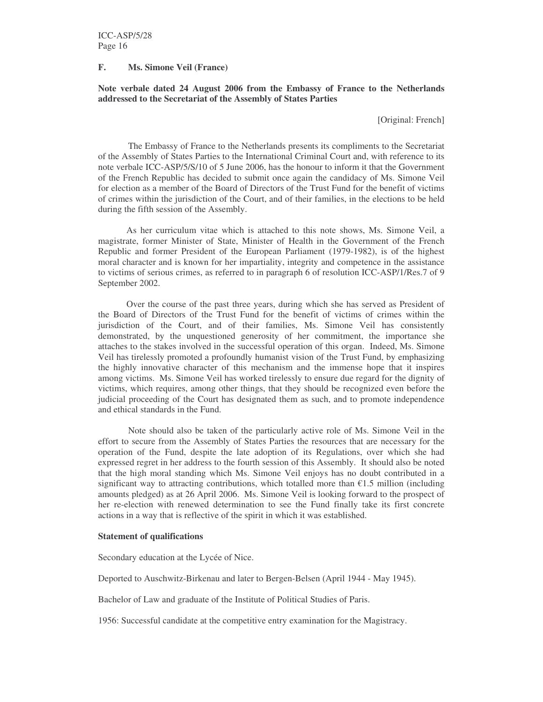### **F. Ms. Simone Veil (France)**

## **Note verbale dated 24 August 2006 from the Embassy of France to the Netherlands addressed to the Secretariat of the Assembly of States Parties**

[Original: French]

The Embassy of France to the Netherlands presents its compliments to the Secretariat of the Assembly of States Parties to the International Criminal Court and, with reference to its note verbale ICC-ASP/5/S/10 of 5 June 2006, has the honour to inform it that the Government of the French Republic has decided to submit once again the candidacy of Ms. Simone Veil for election as a member of the Board of Directors of the Trust Fund for the benefit of victims of crimes within the jurisdiction of the Court, and of their families, in the elections to be held during the fifth session of the Assembly.

As her curriculum vitae which is attached to this note shows, Ms. Simone Veil, a magistrate, former Minister of State, Minister of Health in the Government of the French Republic and former President of the European Parliament (1979-1982), is of the highest moral character and is known for her impartiality, integrity and competence in the assistance to victims of serious crimes, as referred to in paragraph 6 of resolution ICC-ASP/1/Res.7 of 9 September 2002.

Over the course of the past three years, during which she has served as President of the Board of Directors of the Trust Fund for the benefit of victims of crimes within the jurisdiction of the Court, and of their families, Ms. Simone Veil has consistently demonstrated, by the unquestioned generosity of her commitment, the importance she attaches to the stakes involved in the successful operation of this organ. Indeed, Ms. Simone Veil has tirelessly promoted a profoundly humanist vision of the Trust Fund, by emphasizing the highly innovative character of this mechanism and the immense hope that it inspires among victims. Ms. Simone Veil has worked tirelessly to ensure due regard for the dignity of victims, which requires, among other things, that they should be recognized even before the judicial proceeding of the Court has designated them as such, and to promote independence and ethical standards in the Fund.

Note should also be taken of the particularly active role of Ms. Simone Veil in the effort to secure from the Assembly of States Parties the resources that are necessary for the operation of the Fund, despite the late adoption of its Regulations, over which she had expressed regret in her address to the fourth session of this Assembly. It should also be noted that the high moral standing which Ms. Simone Veil enjoys has no doubt contributed in a significant way to attracting contributions, which totalled more than  $\epsilon$ 1.5 million (including amounts pledged) as at 26 April 2006. Ms. Simone Veil is looking forward to the prospect of her re-election with renewed determination to see the Fund finally take its first concrete actions in a way that is reflective of the spirit in which it was established.

#### **Statement of qualifications**

Secondary education at the Lycée of Nice.

Deported to Auschwitz-Birkenau and later to Bergen-Belsen (April 1944 - May 1945).

Bachelor of Law and graduate of the Institute of Political Studies of Paris.

1956: Successful candidate at the competitive entry examination for the Magistracy.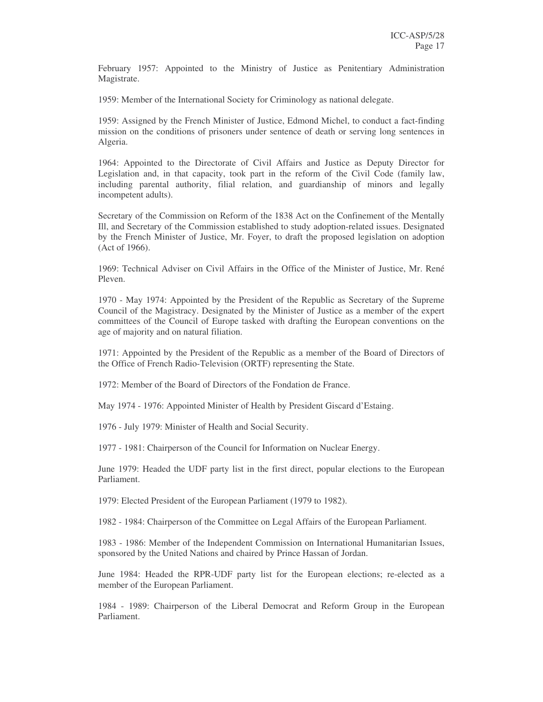February 1957: Appointed to the Ministry of Justice as Penitentiary Administration Magistrate.

1959: Member of the International Society for Criminology as national delegate.

1959: Assigned by the French Minister of Justice, Edmond Michel, to conduct a fact-finding mission on the conditions of prisoners under sentence of death or serving long sentences in Algeria.

1964: Appointed to the Directorate of Civil Affairs and Justice as Deputy Director for Legislation and, in that capacity, took part in the reform of the Civil Code (family law, including parental authority, filial relation, and guardianship of minors and legally incompetent adults).

Secretary of the Commission on Reform of the 1838 Act on the Confinement of the Mentally Ill, and Secretary of the Commission established to study adoption-related issues. Designated by the French Minister of Justice, Mr. Foyer, to draft the proposed legislation on adoption (Act of 1966).

1969: Technical Adviser on Civil Affairs in the Office of the Minister of Justice, Mr. René Pleven.

1970 - May 1974: Appointed by the President of the Republic as Secretary of the Supreme Council of the Magistracy. Designated by the Minister of Justice as a member of the expert committees of the Council of Europe tasked with drafting the European conventions on the age of majority and on natural filiation.

1971: Appointed by the President of the Republic as a member of the Board of Directors of the Office of French Radio-Television (ORTF) representing the State.

1972: Member of the Board of Directors of the Fondation de France.

May 1974 - 1976: Appointed Minister of Health by President Giscard d'Estaing.

1976 - July 1979: Minister of Health and Social Security.

1977 - 1981: Chairperson of the Council for Information on Nuclear Energy.

June 1979: Headed the UDF party list in the first direct, popular elections to the European Parliament.

1979: Elected President of the European Parliament (1979 to 1982).

1982 - 1984: Chairperson of the Committee on Legal Affairs of the European Parliament.

1983 - 1986: Member of the Independent Commission on International Humanitarian Issues, sponsored by the United Nations and chaired by Prince Hassan of Jordan.

June 1984: Headed the RPR-UDF party list for the European elections; re-elected as a member of the European Parliament.

1984 - 1989: Chairperson of the Liberal Democrat and Reform Group in the European Parliament.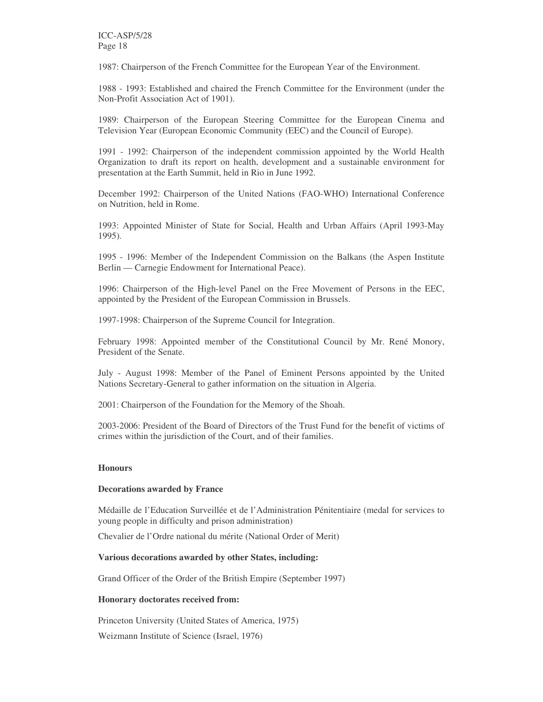ICC-ASP/5/28 Page 18

1987: Chairperson of the French Committee for the European Year of the Environment.

1988 - 1993: Established and chaired the French Committee for the Environment (under the Non-Profit Association Act of 1901).

1989: Chairperson of the European Steering Committee for the European Cinema and Television Year (European Economic Community (EEC) and the Council of Europe).

1991 - 1992: Chairperson of the independent commission appointed by the World Health Organization to draft its report on health, development and a sustainable environment for presentation at the Earth Summit, held in Rio in June 1992.

December 1992: Chairperson of the United Nations (FAO-WHO) International Conference on Nutrition, held in Rome.

1993: Appointed Minister of State for Social, Health and Urban Affairs (April 1993-May 1995).

1995 - 1996: Member of the Independent Commission on the Balkans (the Aspen Institute Berlin — Carnegie Endowment for International Peace).

1996: Chairperson of the High-level Panel on the Free Movement of Persons in the EEC, appointed by the President of the European Commission in Brussels.

1997-1998: Chairperson of the Supreme Council for Integration.

February 1998: Appointed member of the Constitutional Council by Mr. René Monory, President of the Senate.

July - August 1998: Member of the Panel of Eminent Persons appointed by the United Nations Secretary-General to gather information on the situation in Algeria.

2001: Chairperson of the Foundation for the Memory of the Shoah.

2003-2006: President of the Board of Directors of the Trust Fund for the benefit of victims of crimes within the jurisdiction of the Court, and of their families.

## **Honours**

#### **Decorations awarded by France**

Médaille de l'Education Surveillée et de l'Administration Pénitentiaire (medal for services to young people in difficulty and prison administration)

Chevalier de l'Ordre national du mérite (National Order of Merit)

#### **Various decorations awarded by other States, including:**

Grand Officer of the Order of the British Empire (September 1997)

#### **Honorary doctorates received from:**

Princeton University (United States of America, 1975)

Weizmann Institute of Science (Israel, 1976)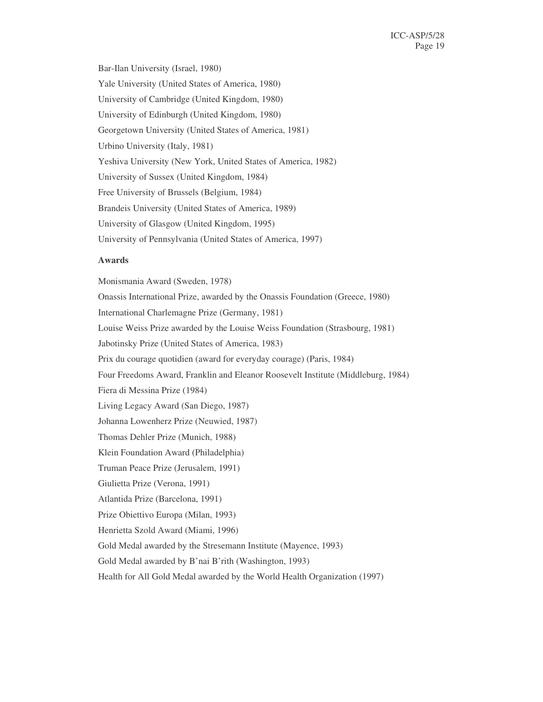Bar-Ilan University (Israel, 1980) Yale University (United States of America, 1980) University of Cambridge (United Kingdom, 1980) University of Edinburgh (United Kingdom, 1980) Georgetown University (United States of America, 1981) Urbino University (Italy, 1981) Yeshiva University (New York, United States of America, 1982) University of Sussex (United Kingdom, 1984) Free University of Brussels (Belgium, 1984) Brandeis University (United States of America, 1989) University of Glasgow (United Kingdom, 1995) University of Pennsylvania (United States of America, 1997)

#### **Awards**

Monismania Award (Sweden, 1978) Onassis International Prize, awarded by the Onassis Foundation (Greece, 1980) International Charlemagne Prize (Germany, 1981) Louise Weiss Prize awarded by the Louise Weiss Foundation (Strasbourg, 1981) Jabotinsky Prize (United States of America, 1983) Prix du courage quotidien (award for everyday courage) (Paris, 1984) Four Freedoms Award, Franklin and Eleanor Roosevelt Institute (Middleburg, 1984) Fiera di Messina Prize (1984) Living Legacy Award (San Diego, 1987) Johanna Lowenherz Prize (Neuwied, 1987) Thomas Dehler Prize (Munich, 1988) Klein Foundation Award (Philadelphia) Truman Peace Prize (Jerusalem, 1991) Giulietta Prize (Verona, 1991) Atlantida Prize (Barcelona, 1991) Prize Obiettivo Europa (Milan, 1993) Henrietta Szold Award (Miami, 1996) Gold Medal awarded by the Stresemann Institute (Mayence, 1993) Gold Medal awarded by B'nai B'rith (Washington, 1993) Health for All Gold Medal awarded by the World Health Organization (1997)